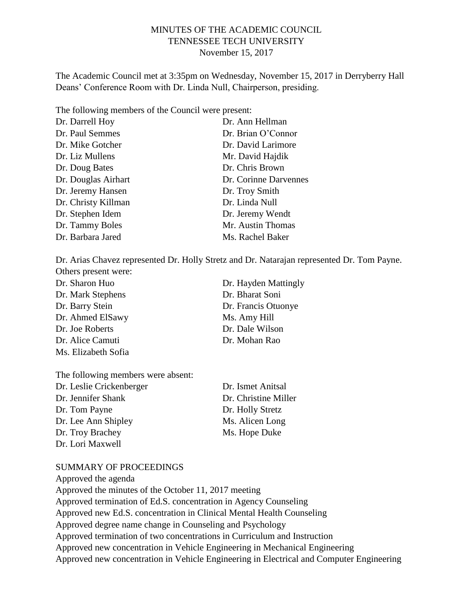## MINUTES OF THE ACADEMIC COUNCIL TENNESSEE TECH UNIVERSITY November 15, 2017

The Academic Council met at 3:35pm on Wednesday, November 15, 2017 in Derryberry Hall Deans' Conference Room with Dr. Linda Null, Chairperson, presiding.

The following members of the Council were present:

| Dr. Darrell Hoy     | Dr. Ann Hellman       |
|---------------------|-----------------------|
| Dr. Paul Semmes     | Dr. Brian O'Connor    |
| Dr. Mike Gotcher    | Dr. David Larimore    |
| Dr. Liz Mullens     | Mr. David Hajdik      |
| Dr. Doug Bates      | Dr. Chris Brown       |
| Dr. Douglas Airhart | Dr. Corinne Darvennes |
| Dr. Jeremy Hansen   | Dr. Troy Smith        |
| Dr. Christy Killman | Dr. Linda Null        |
| Dr. Stephen Idem    | Dr. Jeremy Wendt      |
| Dr. Tammy Boles     | Mr. Austin Thomas     |
| Dr. Barbara Jared   | Ms. Rachel Baker      |

Dr. Arias Chavez represented Dr. Holly Stretz and Dr. Natarajan represented Dr. Tom Payne. Others present were:

| Dr. Sharon Huo      | Dr. Hayden Mattingly |
|---------------------|----------------------|
| Dr. Mark Stephens   | Dr. Bharat Soni      |
| Dr. Barry Stein     | Dr. Francis Otuonye  |
| Dr. Ahmed ElSawy    | Ms. Amy Hill         |
| Dr. Joe Roberts     | Dr. Dale Wilson      |
| Dr. Alice Camuti    | Dr. Mohan Rao        |
| Ms. Elizabeth Sofia |                      |

The following members were absent:

| Dr. Leslie Crickenberger | Dr. Ismet Anitsal    |
|--------------------------|----------------------|
| Dr. Jennifer Shank       | Dr. Christine Miller |
| Dr. Tom Payne            | Dr. Holly Stretz     |
| Dr. Lee Ann Shipley      | Ms. Alicen Long      |
| Dr. Troy Brachey         | Ms. Hope Duke        |
| Dr. Lori Maxwell         |                      |

#### SUMMARY OF PROCEEDINGS

Approved the agenda Approved the minutes of the October 11, 2017 meeting Approved termination of Ed.S. concentration in Agency Counseling Approved new Ed.S. concentration in Clinical Mental Health Counseling Approved degree name change in Counseling and Psychology Approved termination of two concentrations in Curriculum and Instruction Approved new concentration in Vehicle Engineering in Mechanical Engineering Approved new concentration in Vehicle Engineering in Electrical and Computer Engineering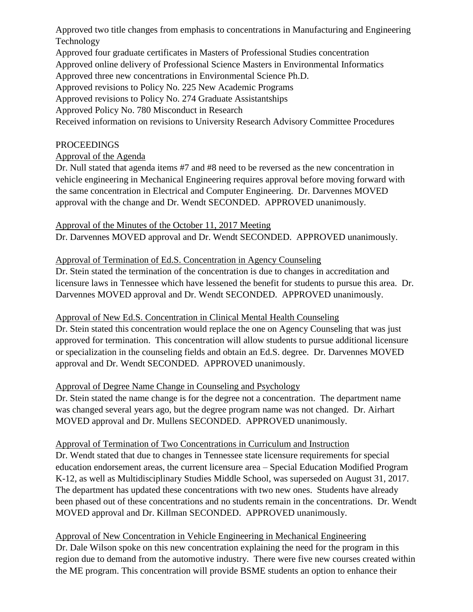Approved two title changes from emphasis to concentrations in Manufacturing and Engineering Technology

Approved four graduate certificates in Masters of Professional Studies concentration

Approved online delivery of Professional Science Masters in Environmental Informatics

Approved three new concentrations in Environmental Science Ph.D.

Approved revisions to Policy No. 225 New Academic Programs

Approved revisions to Policy No. 274 Graduate Assistantships

Approved Policy No. 780 Misconduct in Research

Received information on revisions to University Research Advisory Committee Procedures

# PROCEEDINGS

# Approval of the Agenda

Dr. Null stated that agenda items #7 and #8 need to be reversed as the new concentration in vehicle engineering in Mechanical Engineering requires approval before moving forward with the same concentration in Electrical and Computer Engineering. Dr. Darvennes MOVED approval with the change and Dr. Wendt SECONDED. APPROVED unanimously.

# Approval of the Minutes of the October 11, 2017 Meeting

Dr. Darvennes MOVED approval and Dr. Wendt SECONDED. APPROVED unanimously.

# Approval of Termination of Ed.S. Concentration in Agency Counseling

Dr. Stein stated the termination of the concentration is due to changes in accreditation and licensure laws in Tennessee which have lessened the benefit for students to pursue this area. Dr. Darvennes MOVED approval and Dr. Wendt SECONDED. APPROVED unanimously.

# Approval of New Ed.S. Concentration in Clinical Mental Health Counseling

Dr. Stein stated this concentration would replace the one on Agency Counseling that was just approved for termination. This concentration will allow students to pursue additional licensure or specialization in the counseling fields and obtain an Ed.S. degree. Dr. Darvennes MOVED approval and Dr. Wendt SECONDED. APPROVED unanimously.

# Approval of Degree Name Change in Counseling and Psychology

Dr. Stein stated the name change is for the degree not a concentration. The department name was changed several years ago, but the degree program name was not changed. Dr. Airhart MOVED approval and Dr. Mullens SECONDED. APPROVED unanimously.

# Approval of Termination of Two Concentrations in Curriculum and Instruction

Dr. Wendt stated that due to changes in Tennessee state licensure requirements for special education endorsement areas, the current licensure area – Special Education Modified Program K-12, as well as Multidisciplinary Studies Middle School, was superseded on August 31, 2017. The department has updated these concentrations with two new ones. Students have already been phased out of these concentrations and no students remain in the concentrations. Dr. Wendt MOVED approval and Dr. Killman SECONDED. APPROVED unanimously.

# Approval of New Concentration in Vehicle Engineering in Mechanical Engineering

Dr. Dale Wilson spoke on this new concentration explaining the need for the program in this region due to demand from the automotive industry. There were five new courses created within the ME program. This concentration will provide BSME students an option to enhance their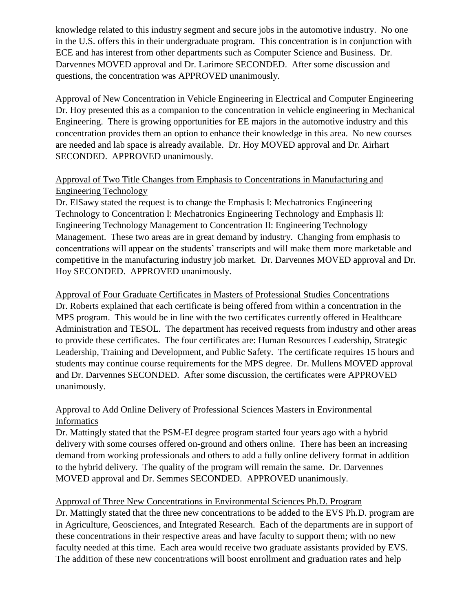knowledge related to this industry segment and secure jobs in the automotive industry. No one in the U.S. offers this in their undergraduate program. This concentration is in conjunction with ECE and has interest from other departments such as Computer Science and Business. Dr. Darvennes MOVED approval and Dr. Larimore SECONDED. After some discussion and questions, the concentration was APPROVED unanimously.

Approval of New Concentration in Vehicle Engineering in Electrical and Computer Engineering Dr. Hoy presented this as a companion to the concentration in vehicle engineering in Mechanical Engineering. There is growing opportunities for EE majors in the automotive industry and this concentration provides them an option to enhance their knowledge in this area. No new courses are needed and lab space is already available. Dr. Hoy MOVED approval and Dr. Airhart SECONDED. APPROVED unanimously.

## Approval of Two Title Changes from Emphasis to Concentrations in Manufacturing and Engineering Technology

Dr. ElSawy stated the request is to change the Emphasis I: Mechatronics Engineering Technology to Concentration I: Mechatronics Engineering Technology and Emphasis II: Engineering Technology Management to Concentration II: Engineering Technology Management. These two areas are in great demand by industry. Changing from emphasis to concentrations will appear on the students' transcripts and will make them more marketable and competitive in the manufacturing industry job market. Dr. Darvennes MOVED approval and Dr. Hoy SECONDED. APPROVED unanimously.

Approval of Four Graduate Certificates in Masters of Professional Studies Concentrations Dr. Roberts explained that each certificate is being offered from within a concentration in the MPS program. This would be in line with the two certificates currently offered in Healthcare Administration and TESOL. The department has received requests from industry and other areas to provide these certificates. The four certificates are: Human Resources Leadership, Strategic Leadership, Training and Development, and Public Safety. The certificate requires 15 hours and students may continue course requirements for the MPS degree. Dr. Mullens MOVED approval and Dr. Darvennes SECONDED. After some discussion, the certificates were APPROVED unanimously.

# Approval to Add Online Delivery of Professional Sciences Masters in Environmental Informatics

Dr. Mattingly stated that the PSM-EI degree program started four years ago with a hybrid delivery with some courses offered on-ground and others online. There has been an increasing demand from working professionals and others to add a fully online delivery format in addition to the hybrid delivery. The quality of the program will remain the same. Dr. Darvennes MOVED approval and Dr. Semmes SECONDED. APPROVED unanimously.

### Approval of Three New Concentrations in Environmental Sciences Ph.D. Program

Dr. Mattingly stated that the three new concentrations to be added to the EVS Ph.D. program are in Agriculture, Geosciences, and Integrated Research. Each of the departments are in support of these concentrations in their respective areas and have faculty to support them; with no new faculty needed at this time. Each area would receive two graduate assistants provided by EVS. The addition of these new concentrations will boost enrollment and graduation rates and help